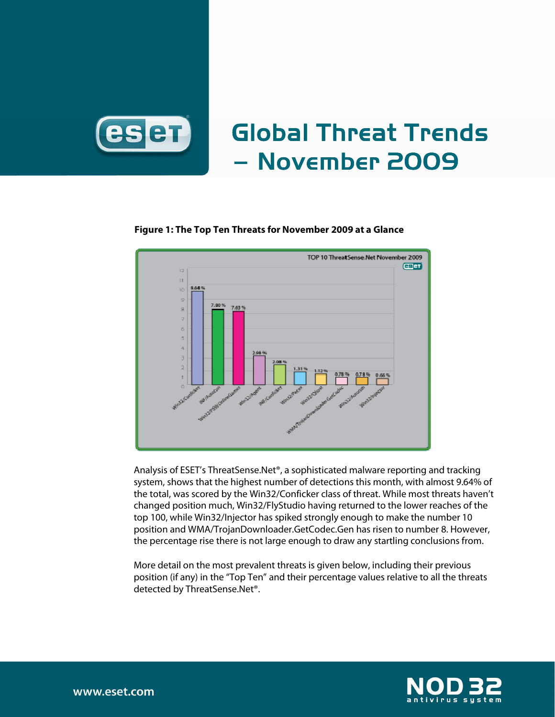

# Global Threat Trends – November 2009



## **Figure 1: The Top Ten Threats for November 2009 at a Glance**

Analysis of ESET's ThreatSense.Net®, a sophisticated malware reporting and tracking system, shows that the highest number of detections this month, with almost 9.64% of the total, was scored by the Win32/Conficker class of threat. While most threats haven't changed position much, Win32/FlyStudio having returned to the lower reaches of the top 100, while Win32/Injector has spiked strongly enough to make the number 10 position and WMA/TrojanDownloader.GetCodec.Gen has risen to number 8. However, the percentage rise there is not large enough to draw any startling conclusions from.

More detail on the most prevalent threats is given below, including their previous position (if any) in the "Top Ten" and their percentage values relative to all the threats detected by ThreatSense.Net®.

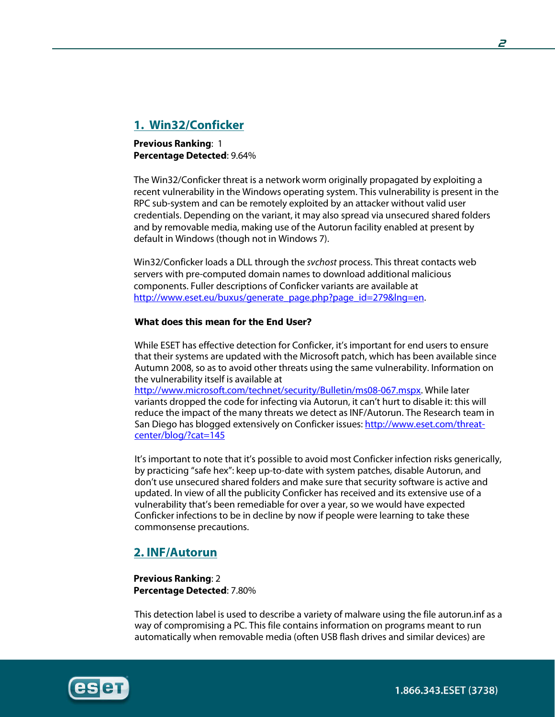# **1. Win32/Conficker**

**Previous Ranking**: 1 **Percentage Detected**: 9.64%

The Win32/Conficker threat is a network worm originally propagated by exploiting a recent vulnerability in the Windows operating system. This vulnerability is present in the RPC sub-system and can be remotely exploited by an attacker without valid user credentials. Depending on the variant, it may also spread via unsecured shared folders and by removable media, making use of the Autorun facility enabled at present by default in Windows (though not in Windows 7).

Win32/Conficker loads a DLL through the svchost process. This threat contacts web servers with pre-computed domain names to download additional malicious components. Fuller descriptions of Conficker variants are available at http://www.eset.eu/buxus/generate\_page.php?page\_id=279&lng=en.

## What does this mean for the End User?

While ESET has effective detection for Conficker, it's important for end users to ensure that their systems are updated with the Microsoft patch, which has been available since Autumn 2008, so as to avoid other threats using the same vulnerability. Information on the vulnerability itself is available at

http://www.microsoft.com/technet/security/Bulletin/ms08-067.mspx. While later variants dropped the code for infecting via Autorun, it can't hurt to disable it: this will reduce the impact of the many threats we detect as INF/Autorun. The Research team in San Diego has blogged extensively on Conficker issues: http://www.eset.com/threatcenter/blog/?cat=145

It's important to note that it's possible to avoid most Conficker infection risks generically, by practicing "safe hex": keep up-to-date with system patches, disable Autorun, and don't use unsecured shared folders and make sure that security software is active and updated. In view of all the publicity Conficker has received and its extensive use of a vulnerability that's been remediable for over a year, so we would have expected Conficker infections to be in decline by now if people were learning to take these commonsense precautions.

## **2. INF/Autorun**

**Previous Ranking**: 2 **Percentage Detected**: 7.80%

This detection label is used to describe a variety of malware using the file autorun.inf as a way of compromising a PC. This file contains information on programs meant to run automatically when removable media (often USB flash drives and similar devices) are



1.866.343.ESET (3738)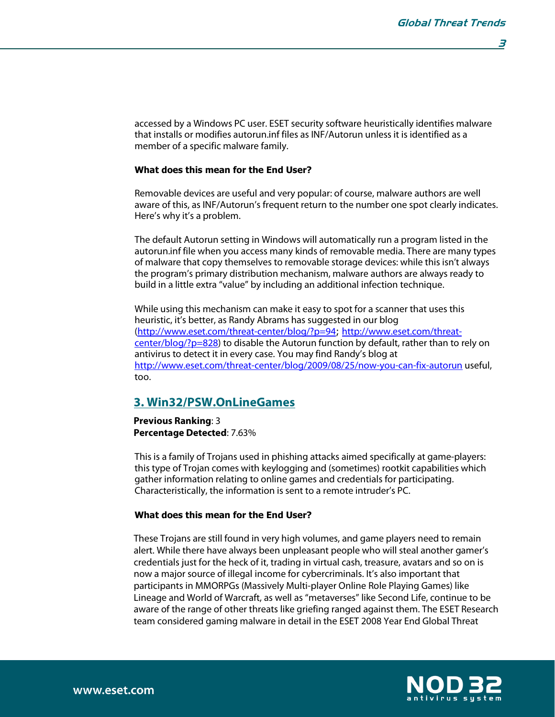**3** 

accessed by a Windows PC user. ESET security software heuristically identifies malware that installs or modifies autorun.inf files as INF/Autorun unless it is identified as a member of a specific malware family.

#### What does this mean for the End User?

Removable devices are useful and very popular: of course, malware authors are well aware of this, as INF/Autorun's frequent return to the number one spot clearly indicates. Here's why it's a problem.

The default Autorun setting in Windows will automatically run a program listed in the autorun.inf file when you access many kinds of removable media. There are many types of malware that copy themselves to removable storage devices: while this isn't always the program's primary distribution mechanism, malware authors are always ready to build in a little extra "value" by including an additional infection technique.

While using this mechanism can make it easy to spot for a scanner that uses this heuristic, it's better, as Randy Abrams has suggested in our blog (http://www.eset.com/threat-center/blog/?p=94; http://www.eset.com/threatcenter/blog/?p=828) to disable the Autorun function by default, rather than to rely on antivirus to detect it in every case. You may find Randy's blog at http://www.eset.com/threat-center/blog/2009/08/25/now-you-can-fix-autorun useful, too.

## **3. Win32/PSW.OnLineGames**

**Previous Ranking**: 3 **Percentage Detected**: 7.63%

This is a family of Trojans used in phishing attacks aimed specifically at game-players: this type of Trojan comes with keylogging and (sometimes) rootkit capabilities which gather information relating to online games and credentials for participating. Characteristically, the information is sent to a remote intruder's PC.

#### What does this mean for the End User?

These Trojans are still found in very high volumes, and game players need to remain alert. While there have always been unpleasant people who will steal another gamer's credentials just for the heck of it, trading in virtual cash, treasure, avatars and so on is now a major source of illegal income for cybercriminals. It's also important that participants in MMORPGs (Massively Multi-player Online Role Playing Games) like Lineage and World of Warcraft, as well as "metaverses" like Second Life, continue to be aware of the range of other threats like griefing ranged against them. The ESET Research team considered gaming malware in detail in the ESET 2008 Year End Global Threat

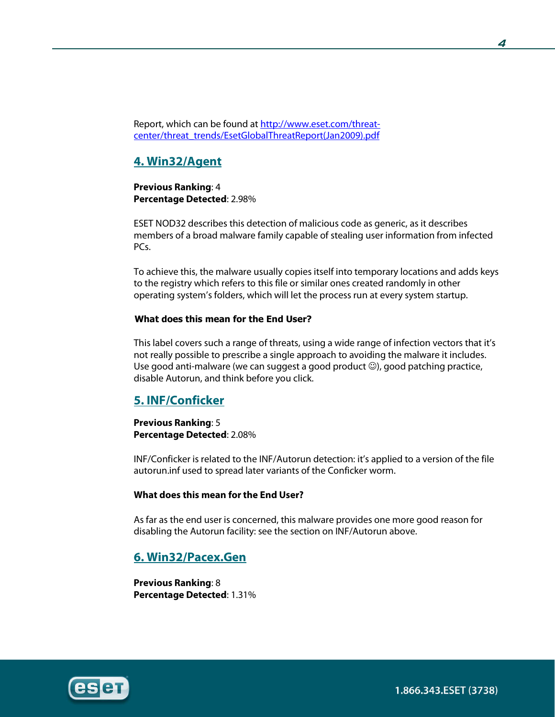Report, which can be found at http://www.eset.com/threatcenter/threat\_trends/EsetGlobalThreatReport(Jan2009).pdf

# **4. Win32/Agent**

**Previous Ranking**: 4 **Percentage Detected**: 2.98%

ESET NOD32 describes this detection of malicious code as generic, as it describes members of a broad malware family capable of stealing user information from infected PCs.

To achieve this, the malware usually copies itself into temporary locations and adds keys to the registry which refers to this file or similar ones created randomly in other operating system's folders, which will let the process run at every system startup.

## What does this mean for the End User?

This label covers such a range of threats, using a wide range of infection vectors that it's not really possible to prescribe a single approach to avoiding the malware it includes. Use good anti-malware (we can suggest a good product  $\circledcirc$ ), good patching practice, disable Autorun, and think before you click.

## **5. INF/Conficker**

**Previous Ranking**: 5 **Percentage Detected**: 2.08%

INF/Conficker is related to the INF/Autorun detection: it's applied to a version of the file autorun.inf used to spread later variants of the Conficker worm.

## **What does this mean for the End User?**

As far as the end user is concerned, this malware provides one more good reason for disabling the Autorun facility: see the section on INF/Autorun above.

## **6. Win32/Pacex.Gen**

**Previous Ranking**: 8 **Percentage Detected**: 1.31%

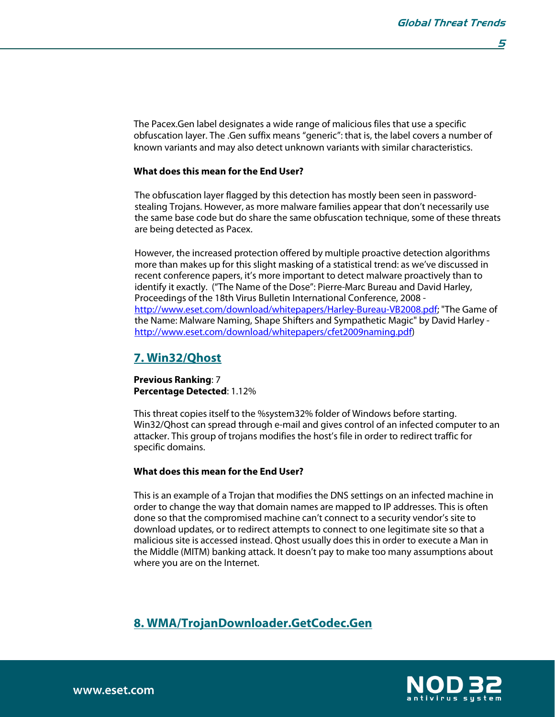The Pacex.Gen label designates a wide range of malicious files that use a specific obfuscation layer. The .Gen suffix means "generic": that is, the label covers a number of known variants and may also detect unknown variants with similar characteristics.

### **What does this mean for the End User?**

The obfuscation layer flagged by this detection has mostly been seen in passwordstealing Trojans. However, as more malware families appear that don't necessarily use the same base code but do share the same obfuscation technique, some of these threats are being detected as Pacex.

However, the increased protection offered by multiple proactive detection algorithms more than makes up for this slight masking of a statistical trend: as we've discussed in recent conference papers, it's more important to detect malware proactively than to identify it exactly. ("The Name of the Dose": Pierre-Marc Bureau and David Harley, Proceedings of the 18th Virus Bulletin International Conference, 2008 http://www.eset.com/download/whitepapers/Harley-Bureau-VB2008.pdf; "The Game of the Name: Malware Naming, Shape Shifters and Sympathetic Magic" by David Harley http://www.eset.com/download/whitepapers/cfet2009naming.pdf)

## **7. Win32/Qhost**

**Previous Ranking**: 7 **Percentage Detected**: 1.12%

This threat copies itself to the %system32% folder of Windows before starting. Win32/Qhost can spread through e-mail and gives control of an infected computer to an attacker. This group of trojans modifies the host's file in order to redirect traffic for specific domains.

#### **What does this mean for the End User?**

This is an example of a Trojan that modifies the DNS settings on an infected machine in order to change the way that domain names are mapped to IP addresses. This is often done so that the compromised machine can't connect to a security vendor's site to download updates, or to redirect attempts to connect to one legitimate site so that a malicious site is accessed instead. Qhost usually does this in order to execute a Man in the Middle (MITM) banking attack. It doesn't pay to make too many assumptions about where you are on the Internet.

## **8. WMA/TrojanDownloader.GetCodec.Gen**

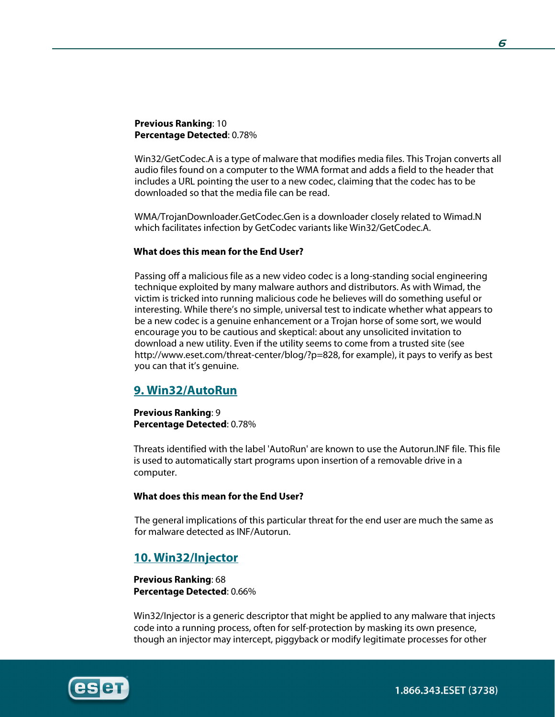## **Previous Ranking**: 10 **Percentage Detected**: 0.78%

Win32/GetCodec.A is a type of malware that modifies media files. This Trojan converts all audio files found on a computer to the WMA format and adds a field to the header that includes a URL pointing the user to a new codec, claiming that the codec has to be downloaded so that the media file can be read.

WMA/TrojanDownloader.GetCodec.Gen is a downloader closely related to Wimad.N which facilitates infection by GetCodec variants like Win32/GetCodec.A.

### **What does this mean for the End User?**

Passing off a malicious file as a new video codec is a long-standing social engineering technique exploited by many malware authors and distributors. As with Wimad, the victim is tricked into running malicious code he believes will do something useful or interesting. While there's no simple, universal test to indicate whether what appears to be a new codec is a genuine enhancement or a Trojan horse of some sort, we would encourage you to be cautious and skeptical: about any unsolicited invitation to download a new utility. Even if the utility seems to come from a trusted site (see http://www.eset.com/threat-center/blog/?p=828, for example), it pays to verify as best you can that it's genuine.

## **9. Win32/AutoRun**

**Previous Ranking**: 9 **Percentage Detected**: 0.78%

Threats identified with the label 'AutoRun' are known to use the Autorun.INF file. This file is used to automatically start programs upon insertion of a removable drive in a computer.

#### **What does this mean for the End User?**

The general implications of this particular threat for the end user are much the same as for malware detected as INF/Autorun.

## **10. Win32/Injector**

**Previous Ranking**: 68 **Percentage Detected**: 0.66%

Win32/Injector is a generic descriptor that might be applied to any malware that injects code into a running process, often for self-protection by masking its own presence, though an injector may intercept, piggyback or modify legitimate processes for other

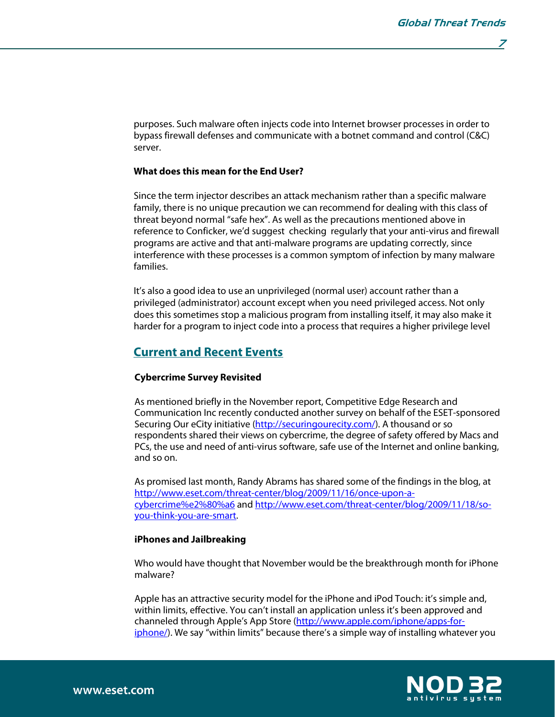**7** 

purposes. Such malware often injects code into Internet browser processes in order to bypass firewall defenses and communicate with a botnet command and control (C&C) server.

## **What does this mean for the End User?**

Since the term injector describes an attack mechanism rather than a specific malware family, there is no unique precaution we can recommend for dealing with this class of threat beyond normal "safe hex". As well as the precautions mentioned above in reference to Conficker, we'd suggest checking regularly that your anti-virus and firewall programs are active and that anti-malware programs are updating correctly, since interference with these processes is a common symptom of infection by many malware families.

It's also a good idea to use an unprivileged (normal user) account rather than a privileged (administrator) account except when you need privileged access. Not only does this sometimes stop a malicious program from installing itself, it may also make it harder for a program to inject code into a process that requires a higher privilege level

## **Current and Recent Events**

#### **Cybercrime Survey Revisited**

As mentioned briefly in the November report, Competitive Edge Research and Communication Inc recently conducted another survey on behalf of the ESET-sponsored Securing Our eCity initiative (http://securingourecity.com/). A thousand or so respondents shared their views on cybercrime, the degree of safety offered by Macs and PCs, the use and need of anti-virus software, safe use of the Internet and online banking, and so on.

As promised last month, Randy Abrams has shared some of the findings in the blog, at http://www.eset.com/threat-center/blog/2009/11/16/once-upon-acybercrime%e2%80%a6 and http://www.eset.com/threat-center/blog/2009/11/18/soyou-think-you-are-smart.

#### **iPhones and Jailbreaking**

Who would have thought that November would be the breakthrough month for iPhone malware?

Apple has an attractive security model for the iPhone and iPod Touch: it's simple and, within limits, effective. You can't install an application unless it's been approved and channeled through Apple's App Store (http://www.apple.com/iphone/apps-foriphone/). We say "within limits" because there's a simple way of installing whatever you

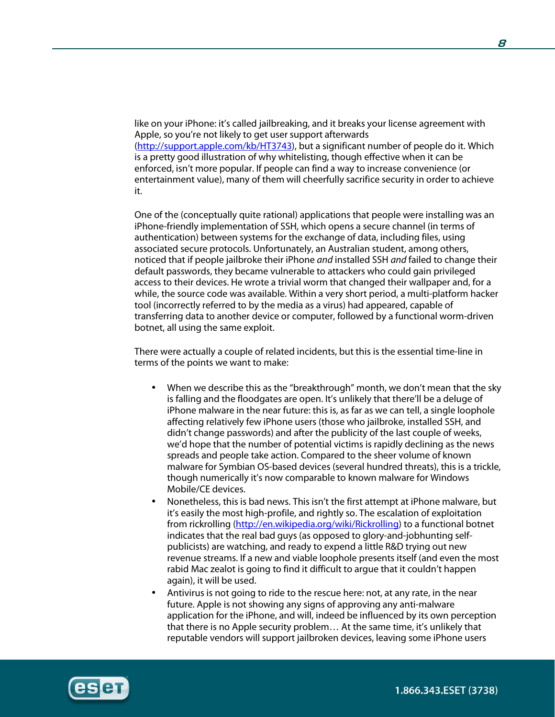like on your iPhone: it's called jailbreaking, and it breaks your license agreement with Apple, so you're not likely to get user support afterwards (http://support.apple.com/kb/HT3743), but a significant number of people do it. Which is a pretty good illustration of why whitelisting, though effective when it can be enforced, isn't more popular. If people can find a way to increase convenience (or entertainment value), many of them will cheerfully sacrifice security in order to achieve it.

One of the (conceptually quite rational) applications that people were installing was an iPhone-friendly implementation of SSH, which opens a secure channel (in terms of authentication) between systems for the exchange of data, including files, using associated secure protocols. Unfortunately, an Australian student, among others, noticed that if people jailbroke their iPhone *and* installed SSH *and* failed to change their default passwords, they became vulnerable to attackers who could gain privileged access to their devices. He wrote a trivial worm that changed their wallpaper and, for a while, the source code was available. Within a very short period, a multi-platform hacker tool (incorrectly referred to by the media as a virus) had appeared, capable of transferring data to another device or computer, followed by a functional worm-driven botnet, all using the same exploit.

There were actually a couple of related incidents, but this is the essential time-line in terms of the points we want to make:

- When we describe this as the "breakthrough" month, we don't mean that the sky is falling and the floodgates are open. It's unlikely that there'll be a deluge of iPhone malware in the near future: this is, as far as we can tell, a single loophole affecting relatively few iPhone users (those who jailbroke, installed SSH, and didn't change passwords) and after the publicity of the last couple of weeks, we'd hope that the number of potential victims is rapidly declining as the news spreads and people take action. Compared to the sheer volume of known malware for Symbian OS-based devices (several hundred threats), this is a trickle, though numerically it's now comparable to known malware for Windows Mobile/CE devices.
- Nonetheless, this is bad news. This isn't the first attempt at iPhone malware, but it's easily the most high-profile, and rightly so. The escalation of exploitation from rickrolling (http://en.wikipedia.org/wiki/Rickrolling) to a functional botnet indicates that the real bad guys (as opposed to glory-and-jobhunting selfpublicists) are watching, and ready to expend a little R&D trying out new revenue streams. If a new and viable loophole presents itself (and even the most rabid Mac zealot is going to find it difficult to argue that it couldn't happen again), it will be used.
- Antivirus is not going to ride to the rescue here: not, at any rate, in the near future. Apple is not showing any signs of approving any anti-malware application for the iPhone, and will, indeed be influenced by its own perception that there is no Apple security problem… At the same time, it's unlikely that reputable vendors will support jailbroken devices, leaving some iPhone users

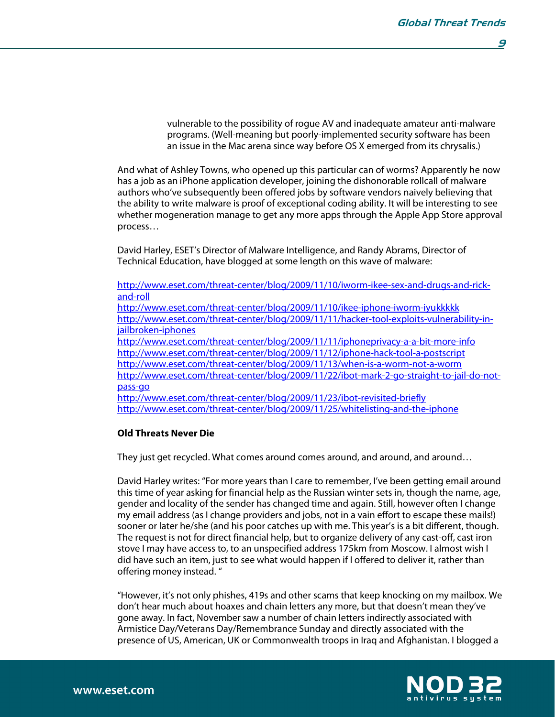vulnerable to the possibility of rogue AV and inadequate amateur anti-malware programs. (Well-meaning but poorly-implemented security software has been an issue in the Mac arena since way before OS X emerged from its chrysalis.)

And what of Ashley Towns, who opened up this particular can of worms? Apparently he now has a job as an iPhone application developer, joining the dishonorable rollcall of malware authors who've subsequently been offered jobs by software vendors naively believing that the ability to write malware is proof of exceptional coding ability. It will be interesting to see whether mogeneration manage to get any more apps through the Apple App Store approval process…

David Harley, ESET's Director of Malware Intelligence, and Randy Abrams, Director of Technical Education, have blogged at some length on this wave of malware:

http://www.eset.com/threat-center/blog/2009/11/10/iworm-ikee-sex-and-drugs-and-rickand-roll http://www.eset.com/threat-center/blog/2009/11/10/ikee-iphone-iworm-iyukkkkk http://www.eset.com/threat-center/blog/2009/11/11/hacker-tool-exploits-vulnerability-injailbroken-iphones http://www.eset.com/threat-center/blog/2009/11/11/iphoneprivacy-a-a-bit-more-info http://www.eset.com/threat-center/blog/2009/11/12/iphone-hack-tool-a-postscript http://www.eset.com/threat-center/blog/2009/11/13/when-is-a-worm-not-a-worm http://www.eset.com/threat-center/blog/2009/11/22/ibot-mark-2-go-straight-to-jail-do-notpass-go http://www.eset.com/threat-center/blog/2009/11/23/ibot-revisited-briefly http://www.eset.com/threat-center/blog/2009/11/25/whitelisting-and-the-iphone

#### **Old Threats Never Die**

They just get recycled. What comes around comes around, and around, and around…

David Harley writes: "For more years than I care to remember, I've been getting email around this time of year asking for financial help as the Russian winter sets in, though the name, age, gender and locality of the sender has changed time and again. Still, however often I change my email address (as I change providers and jobs, not in a vain effort to escape these mails!) sooner or later he/she (and his poor catches up with me. This year's is a bit different, though. The request is not for direct financial help, but to organize delivery of any cast-off, cast iron stove I may have access to, to an unspecified address 175km from Moscow. I almost wish I did have such an item, just to see what would happen if I offered to deliver it, rather than offering money instead. "

"However, it's not only phishes, 419s and other scams that keep knocking on my mailbox. We don't hear much about hoaxes and chain letters any more, but that doesn't mean they've gone away. In fact, November saw a number of chain letters indirectly associated with Armistice Day/Veterans Day/Remembrance Sunday and directly associated with the presence of US, American, UK or Commonwealth troops in Iraq and Afghanistan. I blogged a